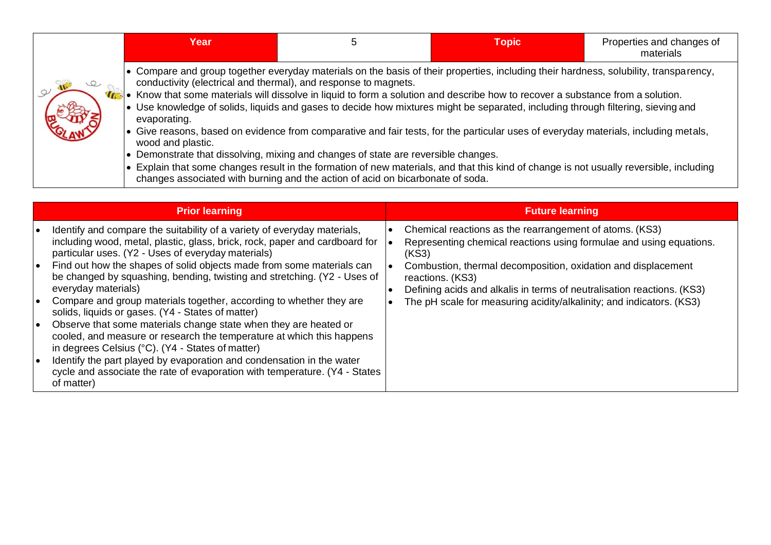| Year                                                                                                                                                                                                                                           |                                                                                                                                                                      | <b>Topic</b>                                                                                                                                                                                                                                                                                                                                                                                                                                                                                                                                              | Properties and changes of<br>materials |
|------------------------------------------------------------------------------------------------------------------------------------------------------------------------------------------------------------------------------------------------|----------------------------------------------------------------------------------------------------------------------------------------------------------------------|-----------------------------------------------------------------------------------------------------------------------------------------------------------------------------------------------------------------------------------------------------------------------------------------------------------------------------------------------------------------------------------------------------------------------------------------------------------------------------------------------------------------------------------------------------------|----------------------------------------|
| conductivity (electrical and thermal), and response to magnets.<br>$\bullet$ Know that some materials will dissolve in liquid to form a solution and describe how to recover a substance from a solution.<br>evaporating.<br>wood and plastic. | • Demonstrate that dissolving, mixing and changes of state are reversible changes.<br>changes associated with burning and the action of acid on bicarbonate of soda. | • Compare and group together everyday materials on the basis of their properties, including their hardness, solubility, transparency,<br>• Use knowledge of solids, liquids and gases to decide how mixtures might be separated, including through filtering, sieving and<br>Give reasons, based on evidence from comparative and fair tests, for the particular uses of everyday materials, including metals,<br>• Explain that some changes result in the formation of new materials, and that this kind of change is not usually reversible, including |                                        |

| <b>Prior learning</b>                                                                                                                                                                                                                                                                                                                                                                                                                                                                          | <b>Future learning</b>                                                                                                                                                                                                                                                                                 |
|------------------------------------------------------------------------------------------------------------------------------------------------------------------------------------------------------------------------------------------------------------------------------------------------------------------------------------------------------------------------------------------------------------------------------------------------------------------------------------------------|--------------------------------------------------------------------------------------------------------------------------------------------------------------------------------------------------------------------------------------------------------------------------------------------------------|
| Identify and compare the suitability of a variety of everyday materials,<br>including wood, metal, plastic, glass, brick, rock, paper and cardboard for<br>particular uses. (Y2 - Uses of everyday materials)<br>Find out how the shapes of solid objects made from some materials can<br>be changed by squashing, bending, twisting and stretching. (Y2 - Uses of<br>everyday materials)                                                                                                      | Chemical reactions as the rearrangement of atoms. (KS3)<br>Representing chemical reactions using formulae and using equations.<br>(KS3)<br>Combustion, thermal decomposition, oxidation and displacement<br>reactions. (KS3)<br>Defining acids and alkalis in terms of neutralisation reactions. (KS3) |
| Compare and group materials together, according to whether they are<br>solids, liquids or gases. (Y4 - States of matter)<br>Observe that some materials change state when they are heated or<br>cooled, and measure or research the temperature at which this happens<br>in degrees Celsius (°C). (Y4 - States of matter)<br>Identify the part played by evaporation and condensation in the water<br>cycle and associate the rate of evaporation with temperature. (Y4 - States<br>of matter) | The pH scale for measuring acidity/alkalinity; and indicators. (KS3)                                                                                                                                                                                                                                   |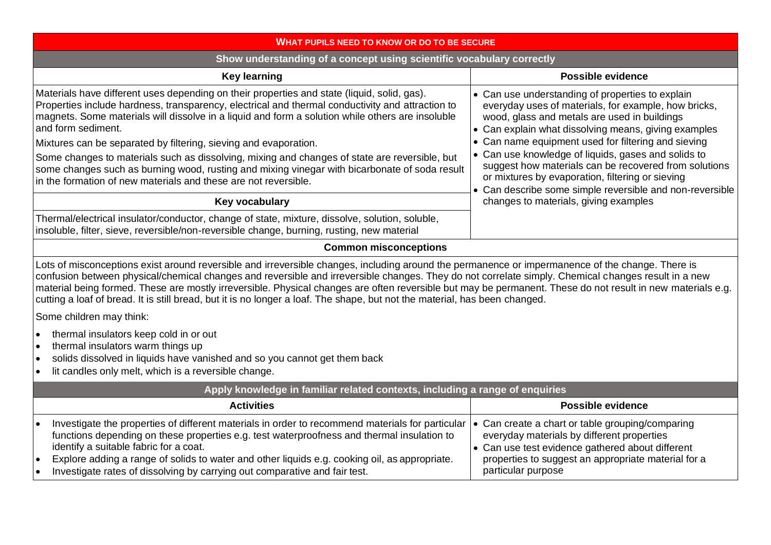| <b>WHAT PUPILS NEED TO KNOW OR DO TO BE SECURE</b>                                                                                                                                                                                                                                                                                                                                                                                                                                                                                                                                                   |                                                                                                                                                                                                                                 |
|------------------------------------------------------------------------------------------------------------------------------------------------------------------------------------------------------------------------------------------------------------------------------------------------------------------------------------------------------------------------------------------------------------------------------------------------------------------------------------------------------------------------------------------------------------------------------------------------------|---------------------------------------------------------------------------------------------------------------------------------------------------------------------------------------------------------------------------------|
| Show understanding of a concept using scientific vocabulary correctly                                                                                                                                                                                                                                                                                                                                                                                                                                                                                                                                |                                                                                                                                                                                                                                 |
| <b>Key learning</b>                                                                                                                                                                                                                                                                                                                                                                                                                                                                                                                                                                                  | <b>Possible evidence</b>                                                                                                                                                                                                        |
| Materials have different uses depending on their properties and state (liquid, solid, gas).<br>Properties include hardness, transparency, electrical and thermal conductivity and attraction to<br>magnets. Some materials will dissolve in a liquid and form a solution while others are insoluble<br>and form sediment.                                                                                                                                                                                                                                                                            | • Can use understanding of properties to explain<br>everyday uses of materials, for example, how bricks,<br>wood, glass and metals are used in buildings<br>• Can explain what dissolving means, giving examples                |
| Mixtures can be separated by filtering, sieving and evaporation.                                                                                                                                                                                                                                                                                                                                                                                                                                                                                                                                     | • Can name equipment used for filtering and sieving                                                                                                                                                                             |
| Some changes to materials such as dissolving, mixing and changes of state are reversible, but<br>some changes such as burning wood, rusting and mixing vinegar with bicarbonate of soda result<br>in the formation of new materials and these are not reversible.                                                                                                                                                                                                                                                                                                                                    | • Can use knowledge of liquids, gases and solids to<br>suggest how materials can be recovered from solutions<br>or mixtures by evaporation, filtering or sieving<br>• Can describe some simple reversible and non-reversible    |
| Key vocabulary                                                                                                                                                                                                                                                                                                                                                                                                                                                                                                                                                                                       | changes to materials, giving examples                                                                                                                                                                                           |
| Thermal/electrical insulator/conductor, change of state, mixture, dissolve, solution, soluble,<br>insoluble, filter, sieve, reversible/non-reversible change, burning, rusting, new material                                                                                                                                                                                                                                                                                                                                                                                                         |                                                                                                                                                                                                                                 |
| <b>Common misconceptions</b>                                                                                                                                                                                                                                                                                                                                                                                                                                                                                                                                                                         |                                                                                                                                                                                                                                 |
| Lots of misconceptions exist around reversible and irreversible changes, including around the permanence or impermanence of the change. There is<br>confusion between physical/chemical changes and reversible and irreversible changes. They do not correlate simply. Chemical changes result in a new<br>material being formed. These are mostly irreversible. Physical changes are often reversible but may be permanent. These do not result in new materials e.g.<br>cutting a loaf of bread. It is still bread, but it is no longer a loaf. The shape, but not the material, has been changed. |                                                                                                                                                                                                                                 |
| Some children may think:                                                                                                                                                                                                                                                                                                                                                                                                                                                                                                                                                                             |                                                                                                                                                                                                                                 |
| thermal insulators keep cold in or out<br>$\bullet$<br>thermal insulators warm things up<br>$\bullet$<br>solids dissolved in liquids have vanished and so you cannot get them back<br>$\bullet$<br>lit candles only melt, which is a reversible change.                                                                                                                                                                                                                                                                                                                                              |                                                                                                                                                                                                                                 |
| Apply knowledge in familiar related contexts, including a range of enquiries                                                                                                                                                                                                                                                                                                                                                                                                                                                                                                                         |                                                                                                                                                                                                                                 |
| <b>Activities</b>                                                                                                                                                                                                                                                                                                                                                                                                                                                                                                                                                                                    | <b>Possible evidence</b>                                                                                                                                                                                                        |
| Investigate the properties of different materials in order to recommend materials for particular<br>functions depending on these properties e.g. test waterproofness and thermal insulation to<br>identify a suitable fabric for a coat.<br>Explore adding a range of solids to water and other liquids e.g. cooking oil, as appropriate.<br>Investigate rates of dissolving by carrying out comparative and fair test.                                                                                                                                                                              | • Can create a chart or table grouping/comparing<br>everyday materials by different properties<br>• Can use test evidence gathered about different<br>properties to suggest an appropriate material for a<br>particular purpose |
|                                                                                                                                                                                                                                                                                                                                                                                                                                                                                                                                                                                                      |                                                                                                                                                                                                                                 |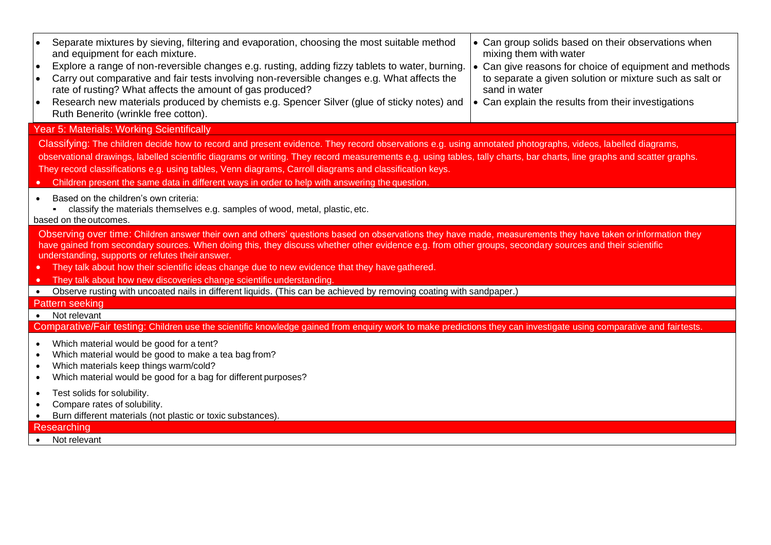| Separate mixtures by sieving, filtering and evaporation, choosing the most suitable method<br>and equipment for each mixture.<br>Explore a range of non-reversible changes e.g. rusting, adding fizzy tablets to water, burning.<br>Carry out comparative and fair tests involving non-reversible changes e.g. What affects the<br>rate of rusting? What affects the amount of gas produced?<br>Research new materials produced by chemists e.g. Spencer Silver (glue of sticky notes) and<br>Ruth Benerito (wrinkle free cotton).                     | • Can group solids based on their observations when<br>mixing them with water<br>• Can give reasons for choice of equipment and methods<br>to separate a given solution or mixture such as salt or<br>sand in water<br>• Can explain the results from their investigations |
|--------------------------------------------------------------------------------------------------------------------------------------------------------------------------------------------------------------------------------------------------------------------------------------------------------------------------------------------------------------------------------------------------------------------------------------------------------------------------------------------------------------------------------------------------------|----------------------------------------------------------------------------------------------------------------------------------------------------------------------------------------------------------------------------------------------------------------------------|
| Year 5: Materials: Working Scientifically                                                                                                                                                                                                                                                                                                                                                                                                                                                                                                              |                                                                                                                                                                                                                                                                            |
| Classifying: The children decide how to record and present evidence. They record observations e.g. using annotated photographs, videos, labelled diagrams,<br>observational drawings, labelled scientific diagrams or writing. They record measurements e.g. using tables, tally charts, bar charts, line graphs and scatter graphs.<br>They record classifications e.g. using tables, Venn diagrams, Carroll diagrams and classification keys.<br>Children present the same data in different ways in order to help with answering the question.      |                                                                                                                                                                                                                                                                            |
| Based on the children's own criteria:<br>classify the materials themselves e.g. samples of wood, metal, plastic, etc.<br>based on the outcomes.                                                                                                                                                                                                                                                                                                                                                                                                        |                                                                                                                                                                                                                                                                            |
| Observing over time: Children answer their own and others' questions based on observations they have made, measurements they have taken or information they<br>have gained from secondary sources. When doing this, they discuss whether other evidence e.g. from other groups, secondary sources and their scientific<br>understanding, supports or refutes their answer.<br>• They talk about how their scientific ideas change due to new evidence that they have gathered.<br>They talk about how new discoveries change scientific understanding. |                                                                                                                                                                                                                                                                            |
| Observe rusting with uncoated nails in different liquids. (This can be achieved by removing coating with sandpaper.)                                                                                                                                                                                                                                                                                                                                                                                                                                   |                                                                                                                                                                                                                                                                            |
| <b>Pattern seeking</b>                                                                                                                                                                                                                                                                                                                                                                                                                                                                                                                                 |                                                                                                                                                                                                                                                                            |
| • Not relevant                                                                                                                                                                                                                                                                                                                                                                                                                                                                                                                                         |                                                                                                                                                                                                                                                                            |
| Comparative/Fair testing: Children use the scientific knowledge gained from enquiry work to make predictions they can investigate using comparative and fairtests.                                                                                                                                                                                                                                                                                                                                                                                     |                                                                                                                                                                                                                                                                            |
| Which material would be good for a tent?<br>Which material would be good to make a tea bag from?<br>Which materials keep things warm/cold?<br>Which material would be good for a bag for different purposes?                                                                                                                                                                                                                                                                                                                                           |                                                                                                                                                                                                                                                                            |
| Test solids for solubility.<br>Compare rates of solubility.<br>Burn different materials (not plastic or toxic substances).                                                                                                                                                                                                                                                                                                                                                                                                                             |                                                                                                                                                                                                                                                                            |
| Researching                                                                                                                                                                                                                                                                                                                                                                                                                                                                                                                                            |                                                                                                                                                                                                                                                                            |
| Not relevant                                                                                                                                                                                                                                                                                                                                                                                                                                                                                                                                           |                                                                                                                                                                                                                                                                            |
|                                                                                                                                                                                                                                                                                                                                                                                                                                                                                                                                                        |                                                                                                                                                                                                                                                                            |